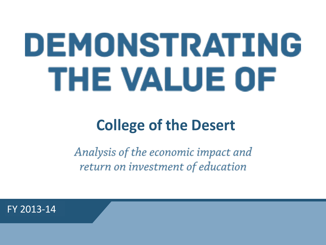# DEMONSTRATING THE VALUE OF

## **College of the Desert**

Analysis of the economic impact and return on investment of education

FY 2013-14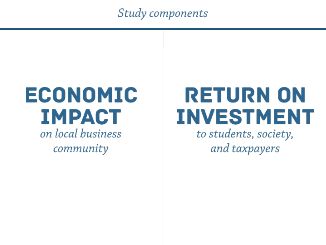### Study components

# **ECONOMIC IMPACT**

on local business community

# **RETURN ON INVESTMENT**

to students, society, and taxpayers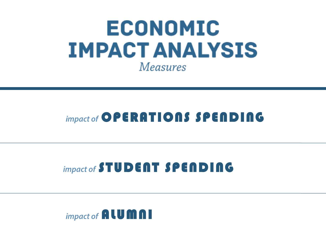## **ECONOMIC IMPACT ANALYSIS Measures**

## **impact of OPERATIONS SPENDING**

## impact of STUDENT SPENDING

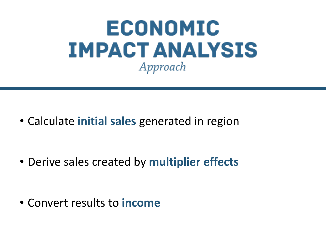## **ECONOMIC IMPACT ANALYSIS** Approach

• Calculate **initial sales** generated in region

• Derive sales created by **multiplier effects**

• Convert results to **income**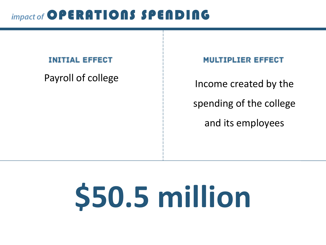## impact of **OPERATIONS** SPENDING

#### **INITIAL EFFECT**

#### **MULTIPLIER EFFECT**

Payroll of college and income created by the spending of the college and its employees

# **\$50.5 million**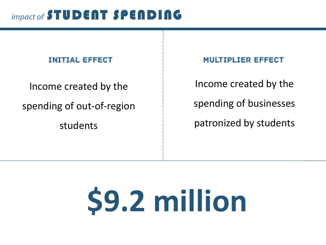## impact of STUDENT SPENDING

#### **INITIAL EFFECT**

Income created by the spending of out-of-region students

#### **MULTIPLIER EFFECT**

Income created by the spending of businesses patronized by students

# **\$9.2 million**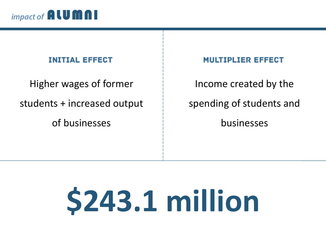

#### **INITIAL EFFECT**

Higher wages of former

students + increased output

of businesses

#### **MULTIPLIER EFFECT**

Income created by the spending of students and businesses

# **\$243.1 million**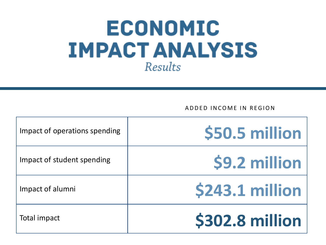## **ECONOMIC IMPACT ANALYSIS** Results

A D D E D IN COME IN REGION

| Impact of operations spending | \$50.5 million         |
|-------------------------------|------------------------|
| Impact of student spending    | \$9.2 million          |
| Impact of alumni              | <b>\$243.1 million</b> |
| Total impact                  | <b>\$302.8 million</b> |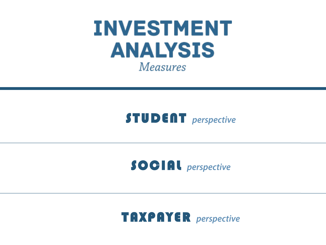

## **STUDENT** perspective



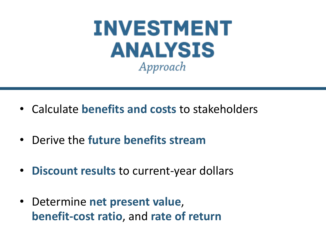

- Calculate **benefits and costs** to stakeholders
- Derive the **future benefits stream**
- **Discount results** to current-year dollars
- Determine **net present value**, **benefit-cost ratio**, and **rate of return**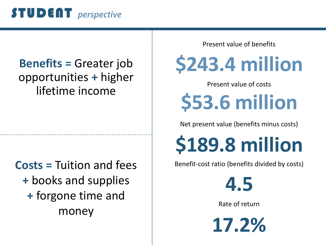## **STUDENT** *perspective*

### **Benefits =** Greater job opportunities **+** higher lifetime income

**Costs =** Tuition and fees **+** books and supplies **+** forgone time and money

Present value of benefits

## **\$243.4 million**

Present value of costs

**\$53.6 million**

Net present value (benefits minus costs)

# **\$189.8 million**

Benefit-cost ratio (benefits divided by costs)

**4.5**

Rate of return

**17.2%**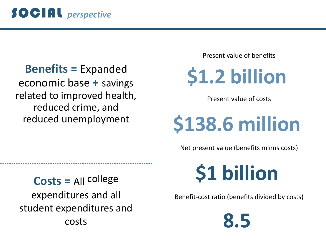## **SOCIAL** perspective

**Benefits =** Expanded economic base **+** savings related to improved health, reduced crime, and reduced unemployment

Costs = All college expenditures and all student expenditures and costs

Present value of benefits

**\$1.2 billion**

Present value of costs

# **\$138.6 million**

Net present value (benefits minus costs)

**\$1 billion**

Benefit-cost ratio (benefits divided by costs)

**8.5**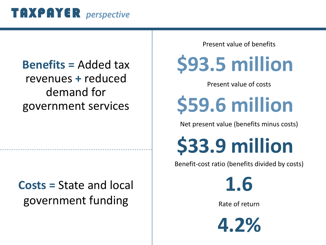## TAXPAYER *perspective*

### **Benefits =** Added tax revenues **+** reduced demand for government services

## **Costs =** State and local government funding

Present value of benefits

**\$93.5 million**

Present value of costs

**\$59.6 million**

Net present value (benefits minus costs)

**\$33.9 million**

Benefit-cost ratio (benefits divided by costs)

**1.6**

Rate of return

**4.2%**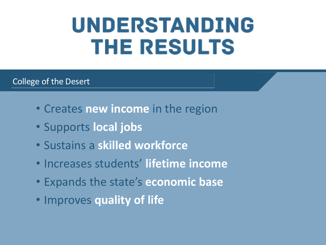## UNDERSTANDING **THE RESULTS**

College of the Desert

- Creates **new income** in the region
- Supports **local jobs**
- Sustains a **skilled workforce**
- Increases students' **lifetime income**
- Expands the state's **economic base**
- Improves **quality of life**